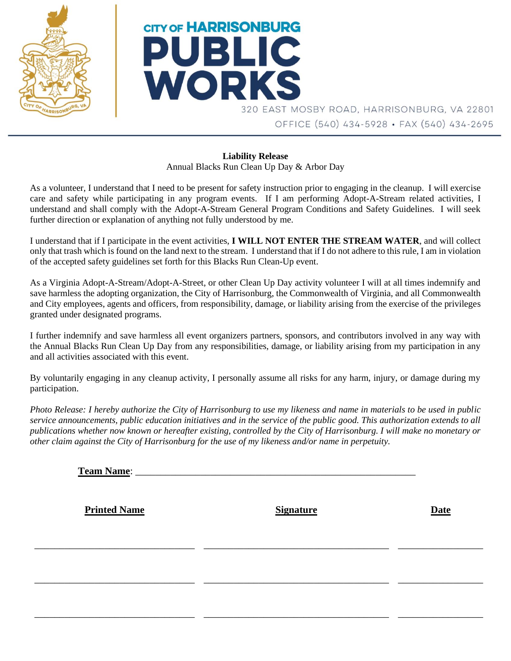



320 EAST MOSBY ROAD, HARRISONBURG, VA 22801 OFFICE (540) 434-5928 · FAX (540) 434-2695

## **Liability Release** Annual Blacks Run Clean Up Day & Arbor Day

As a volunteer, I understand that I need to be present for safety instruction prior to engaging in the cleanup. I will exercise care and safety while participating in any program events. If I am performing Adopt-A-Stream related activities, I understand and shall comply with the Adopt-A-Stream General Program Conditions and Safety Guidelines. I will seek further direction or explanation of anything not fully understood by me.

I understand that if I participate in the event activities, **I WILL NOT ENTER THE STREAM WATER**, and will collect only that trash which is found on the land next to the stream. I understand that if I do not adhere to this rule, I am in violation of the accepted safety guidelines set forth for this Blacks Run Clean-Up event.

As a Virginia Adopt-A-Stream/Adopt-A-Street, or other Clean Up Day activity volunteer I will at all times indemnify and save harmless the adopting organization, the City of Harrisonburg, the Commonwealth of Virginia, and all Commonwealth and City employees, agents and officers, from responsibility, damage, or liability arising from the exercise of the privileges granted under designated programs.

I further indemnify and save harmless all event organizers partners, sponsors, and contributors involved in any way with the Annual Blacks Run Clean Up Day from any responsibilities, damage, or liability arising from my participation in any and all activities associated with this event.

By voluntarily engaging in any cleanup activity, I personally assume all risks for any harm, injury, or damage during my participation.

*Photo Release: I hereby authorize the City of Harrisonburg to use my likeness and name in materials to be used in public service announcements, public education initiatives and in the service of the public good. This authorization extends to all publications whether now known or hereafter existing, controlled by the City of Harrisonburg. I will make no monetary or other claim against the City of Harrisonburg for the use of my likeness and/or name in perpetuity.*

| <b>Team Name:</b>   |                  |             |
|---------------------|------------------|-------------|
| <b>Printed Name</b> | <b>Signature</b> | <b>Date</b> |
|                     |                  |             |
|                     |                  |             |
|                     |                  |             |

\_\_\_\_\_\_\_\_\_\_\_\_\_\_\_\_\_\_\_\_\_\_\_\_\_\_\_\_\_\_\_\_ \_\_\_\_\_\_\_\_\_\_\_\_\_\_\_\_\_\_\_\_\_\_\_\_\_\_\_\_\_\_\_\_\_\_\_\_\_ \_\_\_\_\_\_\_\_\_\_\_\_\_\_\_\_\_